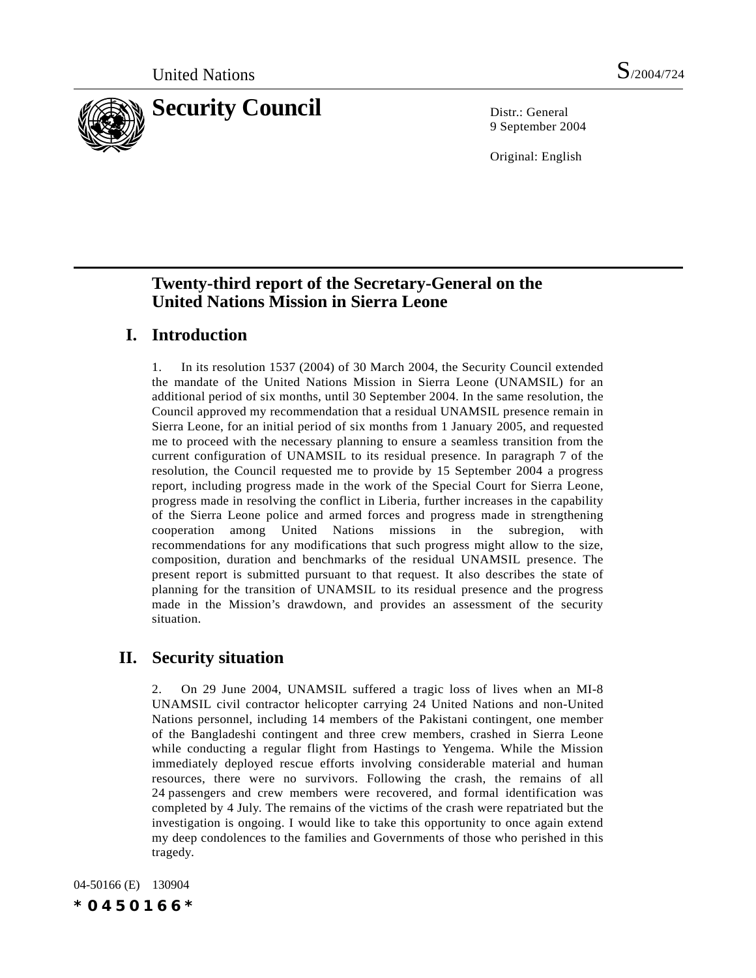

9 September 2004

Original: English

## **Twenty-third report of the Secretary-General on the United Nations Mission in Sierra Leone**

## **I. Introduction**

1. In its resolution 1537 (2004) of 30 March 2004, the Security Council extended the mandate of the United Nations Mission in Sierra Leone (UNAMSIL) for an additional period of six months, until 30 September 2004. In the same resolution, the Council approved my recommendation that a residual UNAMSIL presence remain in Sierra Leone, for an initial period of six months from 1 January 2005, and requested me to proceed with the necessary planning to ensure a seamless transition from the current configuration of UNAMSIL to its residual presence. In paragraph 7 of the resolution, the Council requested me to provide by 15 September 2004 a progress report, including progress made in the work of the Special Court for Sierra Leone, progress made in resolving the conflict in Liberia, further increases in the capability of the Sierra Leone police and armed forces and progress made in strengthening cooperation among United Nations missions in the subregion, with recommendations for any modifications that such progress might allow to the size, composition, duration and benchmarks of the residual UNAMSIL presence. The present report is submitted pursuant to that request. It also describes the state of planning for the transition of UNAMSIL to its residual presence and the progress made in the Mission's drawdown, and provides an assessment of the security situation.

## **II. Security situation**

2. On 29 June 2004, UNAMSIL suffered a tragic loss of lives when an MI-8 UNAMSIL civil contractor helicopter carrying 24 United Nations and non-United Nations personnel, including 14 members of the Pakistani contingent, one member of the Bangladeshi contingent and three crew members, crashed in Sierra Leone while conducting a regular flight from Hastings to Yengema. While the Mission immediately deployed rescue efforts involving considerable material and human resources, there were no survivors. Following the crash, the remains of all 24 passengers and crew members were recovered, and formal identification was completed by 4 July. The remains of the victims of the crash were repatriated but the investigation is ongoing. I would like to take this opportunity to once again extend my deep condolences to the families and Governments of those who perished in this tragedy.

04-50166 (E) 130904 *\*0450166\**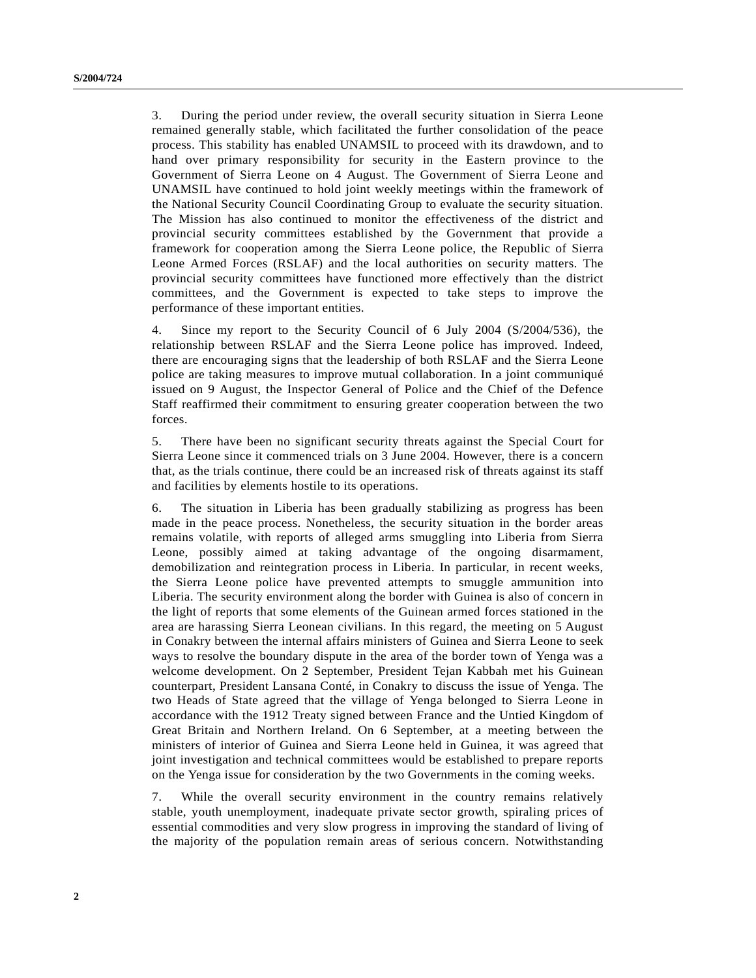3. During the period under review, the overall security situation in Sierra Leone remained generally stable, which facilitated the further consolidation of the peace process. This stability has enabled UNAMSIL to proceed with its drawdown, and to hand over primary responsibility for security in the Eastern province to the Government of Sierra Leone on 4 August. The Government of Sierra Leone and UNAMSIL have continued to hold joint weekly meetings within the framework of the National Security Council Coordinating Group to evaluate the security situation. The Mission has also continued to monitor the effectiveness of the district and provincial security committees established by the Government that provide a framework for cooperation among the Sierra Leone police, the Republic of Sierra Leone Armed Forces (RSLAF) and the local authorities on security matters. The provincial security committees have functioned more effectively than the district committees, and the Government is expected to take steps to improve the performance of these important entities.

4. Since my report to the Security Council of 6 July 2004 (S/2004/536), the relationship between RSLAF and the Sierra Leone police has improved. Indeed, there are encouraging signs that the leadership of both RSLAF and the Sierra Leone police are taking measures to improve mutual collaboration. In a joint communiqué issued on 9 August, the Inspector General of Police and the Chief of the Defence Staff reaffirmed their commitment to ensuring greater cooperation between the two forces.

5. There have been no significant security threats against the Special Court for Sierra Leone since it commenced trials on 3 June 2004. However, there is a concern that, as the trials continue, there could be an increased risk of threats against its staff and facilities by elements hostile to its operations.

6. The situation in Liberia has been gradually stabilizing as progress has been made in the peace process. Nonetheless, the security situation in the border areas remains volatile, with reports of alleged arms smuggling into Liberia from Sierra Leone, possibly aimed at taking advantage of the ongoing disarmament, demobilization and reintegration process in Liberia. In particular, in recent weeks, the Sierra Leone police have prevented attempts to smuggle ammunition into Liberia. The security environment along the border with Guinea is also of concern in the light of reports that some elements of the Guinean armed forces stationed in the area are harassing Sierra Leonean civilians. In this regard, the meeting on 5 August in Conakry between the internal affairs ministers of Guinea and Sierra Leone to seek ways to resolve the boundary dispute in the area of the border town of Yenga was a welcome development. On 2 September, President Tejan Kabbah met his Guinean counterpart, President Lansana Conté, in Conakry to discuss the issue of Yenga. The two Heads of State agreed that the village of Yenga belonged to Sierra Leone in accordance with the 1912 Treaty signed between France and the Untied Kingdom of Great Britain and Northern Ireland. On 6 September, at a meeting between the ministers of interior of Guinea and Sierra Leone held in Guinea, it was agreed that joint investigation and technical committees would be established to prepare reports on the Yenga issue for consideration by the two Governments in the coming weeks.

7. While the overall security environment in the country remains relatively stable, youth unemployment, inadequate private sector growth, spiraling prices of essential commodities and very slow progress in improving the standard of living of the majority of the population remain areas of serious concern. Notwithstanding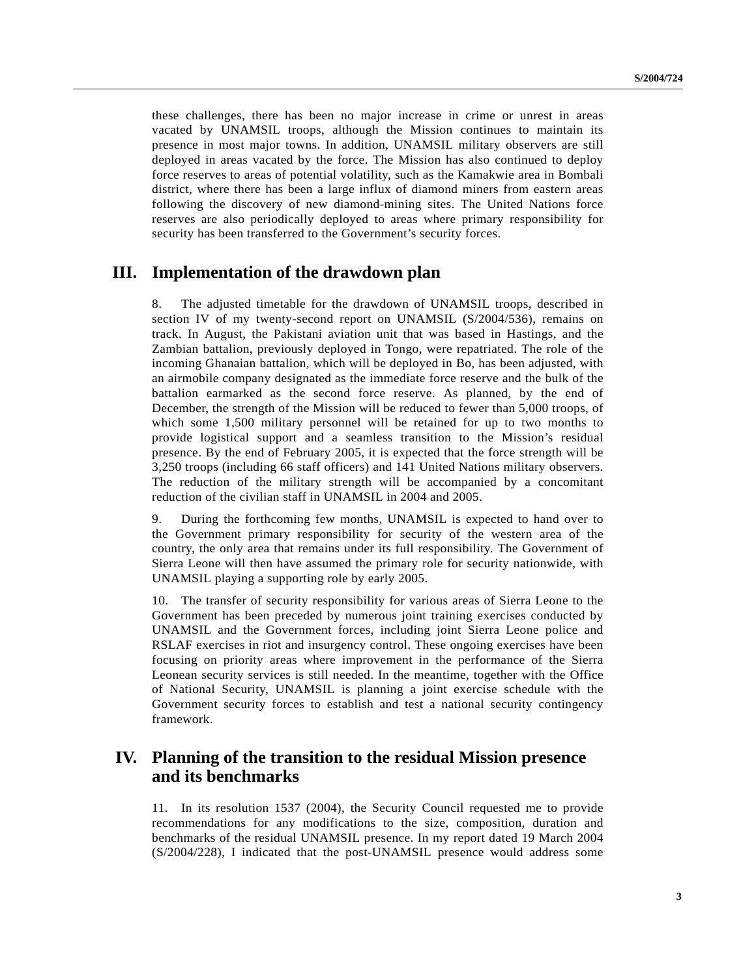these challenges, there has been no major increase in crime or unrest in areas vacated by UNAMSIL troops, although the Mission continues to maintain its presence in most major towns. In addition, UNAMSIL military observers are still deployed in areas vacated by the force. The Mission has also continued to deploy force reserves to areas of potential volatility, such as the Kamakwie area in Bombali district, where there has been a large influx of diamond miners from eastern areas following the discovery of new diamond-mining sites. The United Nations force reserves are also periodically deployed to areas where primary responsibility for security has been transferred to the Government's security forces.

### **III. Implementation of the drawdown plan**

8. The adjusted timetable for the drawdown of UNAMSIL troops, described in section IV of my twenty-second report on UNAMSIL (S/2004/536), remains on track. In August, the Pakistani aviation unit that was based in Hastings, and the Zambian battalion, previously deployed in Tongo, were repatriated. The role of the incoming Ghanaian battalion, which will be deployed in Bo, has been adjusted, with an airmobile company designated as the immediate force reserve and the bulk of the battalion earmarked as the second force reserve. As planned, by the end of December, the strength of the Mission will be reduced to fewer than 5,000 troops, of which some 1,500 military personnel will be retained for up to two months to provide logistical support and a seamless transition to the Mission's residual presence. By the end of February 2005, it is expected that the force strength will be 3,250 troops (including 66 staff officers) and 141 United Nations military observers. The reduction of the military strength will be accompanied by a concomitant reduction of the civilian staff in UNAMSIL in 2004 and 2005.

9. During the forthcoming few months, UNAMSIL is expected to hand over to the Government primary responsibility for security of the western area of the country, the only area that remains under its full responsibility. The Government of Sierra Leone will then have assumed the primary role for security nationwide, with UNAMSIL playing a supporting role by early 2005.

10. The transfer of security responsibility for various areas of Sierra Leone to the Government has been preceded by numerous joint training exercises conducted by UNAMSIL and the Government forces, including joint Sierra Leone police and RSLAF exercises in riot and insurgency control. These ongoing exercises have been focusing on priority areas where improvement in the performance of the Sierra Leonean security services is still needed. In the meantime, together with the Office of National Security, UNAMSIL is planning a joint exercise schedule with the Government security forces to establish and test a national security contingency framework.

### **IV. Planning of the transition to the residual Mission presence and its benchmarks**

11. In its resolution 1537 (2004), the Security Council requested me to provide recommendations for any modifications to the size, composition, duration and benchmarks of the residual UNAMSIL presence. In my report dated 19 March 2004 (S/2004/228), I indicated that the post-UNAMSIL presence would address some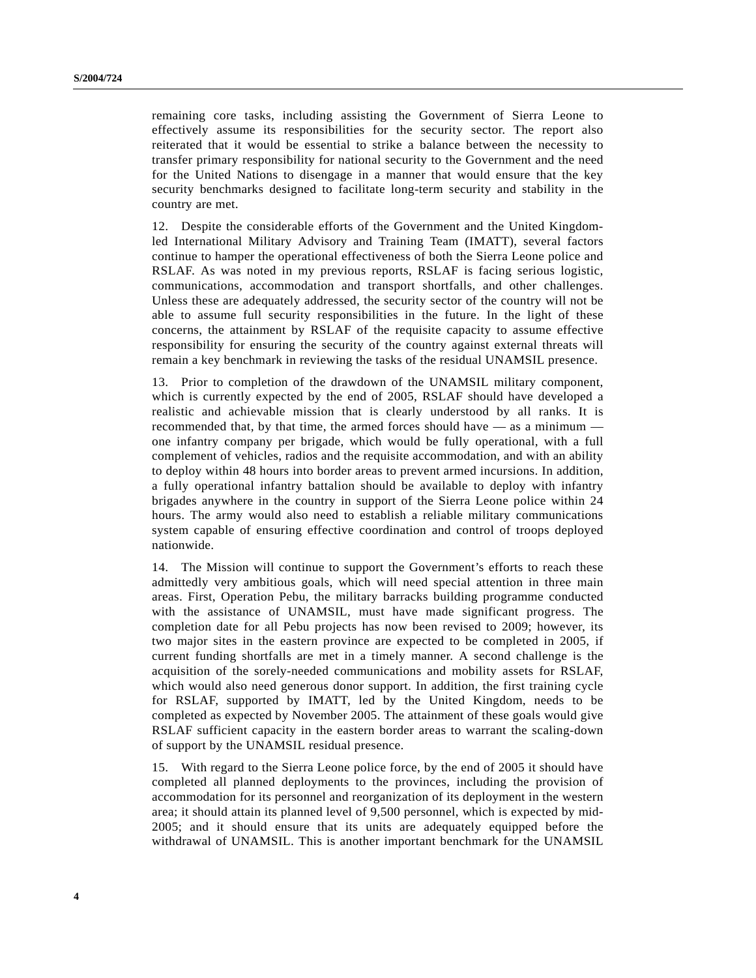remaining core tasks, including assisting the Government of Sierra Leone to effectively assume its responsibilities for the security sector. The report also reiterated that it would be essential to strike a balance between the necessity to transfer primary responsibility for national security to the Government and the need for the United Nations to disengage in a manner that would ensure that the key security benchmarks designed to facilitate long-term security and stability in the country are met.

12. Despite the considerable efforts of the Government and the United Kingdomled International Military Advisory and Training Team (IMATT), several factors continue to hamper the operational effectiveness of both the Sierra Leone police and RSLAF. As was noted in my previous reports, RSLAF is facing serious logistic, communications, accommodation and transport shortfalls, and other challenges. Unless these are adequately addressed, the security sector of the country will not be able to assume full security responsibilities in the future. In the light of these concerns, the attainment by RSLAF of the requisite capacity to assume effective responsibility for ensuring the security of the country against external threats will remain a key benchmark in reviewing the tasks of the residual UNAMSIL presence.

13. Prior to completion of the drawdown of the UNAMSIL military component, which is currently expected by the end of 2005, RSLAF should have developed a realistic and achievable mission that is clearly understood by all ranks. It is recommended that, by that time, the armed forces should have — as a minimum one infantry company per brigade, which would be fully operational, with a full complement of vehicles, radios and the requisite accommodation, and with an ability to deploy within 48 hours into border areas to prevent armed incursions. In addition, a fully operational infantry battalion should be available to deploy with infantry brigades anywhere in the country in support of the Sierra Leone police within 24 hours. The army would also need to establish a reliable military communications system capable of ensuring effective coordination and control of troops deployed nationwide.

14. The Mission will continue to support the Government's efforts to reach these admittedly very ambitious goals, which will need special attention in three main areas. First, Operation Pebu, the military barracks building programme conducted with the assistance of UNAMSIL, must have made significant progress. The completion date for all Pebu projects has now been revised to 2009; however, its two major sites in the eastern province are expected to be completed in 2005, if current funding shortfalls are met in a timely manner. A second challenge is the acquisition of the sorely-needed communications and mobility assets for RSLAF, which would also need generous donor support. In addition, the first training cycle for RSLAF, supported by IMATT, led by the United Kingdom, needs to be completed as expected by November 2005. The attainment of these goals would give RSLAF sufficient capacity in the eastern border areas to warrant the scaling-down of support by the UNAMSIL residual presence.

15. With regard to the Sierra Leone police force, by the end of 2005 it should have completed all planned deployments to the provinces, including the provision of accommodation for its personnel and reorganization of its deployment in the western area; it should attain its planned level of 9,500 personnel, which is expected by mid-2005; and it should ensure that its units are adequately equipped before the withdrawal of UNAMSIL. This is another important benchmark for the UNAMSIL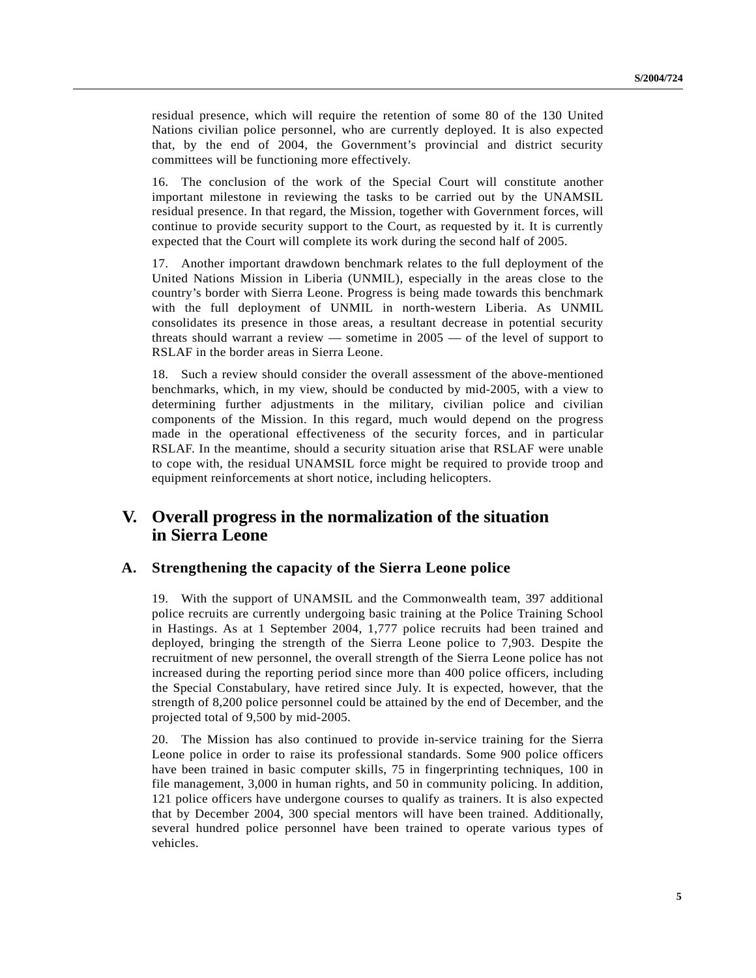residual presence, which will require the retention of some 80 of the 130 United Nations civilian police personnel, who are currently deployed. It is also expected that, by the end of 2004, the Government's provincial and district security committees will be functioning more effectively.

16. The conclusion of the work of the Special Court will constitute another important milestone in reviewing the tasks to be carried out by the UNAMSIL residual presence. In that regard, the Mission, together with Government forces, will continue to provide security support to the Court, as requested by it. It is currently expected that the Court will complete its work during the second half of 2005.

17. Another important drawdown benchmark relates to the full deployment of the United Nations Mission in Liberia (UNMIL), especially in the areas close to the country's border with Sierra Leone. Progress is being made towards this benchmark with the full deployment of UNMIL in north-western Liberia. As UNMIL consolidates its presence in those areas, a resultant decrease in potential security threats should warrant a review — sometime in 2005 — of the level of support to RSLAF in the border areas in Sierra Leone.

18. Such a review should consider the overall assessment of the above-mentioned benchmarks, which, in my view, should be conducted by mid-2005, with a view to determining further adjustments in the military, civilian police and civilian components of the Mission. In this regard, much would depend on the progress made in the operational effectiveness of the security forces, and in particular RSLAF. In the meantime, should a security situation arise that RSLAF were unable to cope with, the residual UNAMSIL force might be required to provide troop and equipment reinforcements at short notice, including helicopters.

### **V. Overall progress in the normalization of the situation in Sierra Leone**

#### **A. Strengthening the capacity of the Sierra Leone police**

19. With the support of UNAMSIL and the Commonwealth team, 397 additional police recruits are currently undergoing basic training at the Police Training School in Hastings. As at 1 September 2004, 1,777 police recruits had been trained and deployed, bringing the strength of the Sierra Leone police to 7,903. Despite the recruitment of new personnel, the overall strength of the Sierra Leone police has not increased during the reporting period since more than 400 police officers, including the Special Constabulary, have retired since July. It is expected, however, that the strength of 8,200 police personnel could be attained by the end of December, and the projected total of 9,500 by mid-2005.

20. The Mission has also continued to provide in-service training for the Sierra Leone police in order to raise its professional standards. Some 900 police officers have been trained in basic computer skills, 75 in fingerprinting techniques, 100 in file management, 3,000 in human rights, and 50 in community policing. In addition, 121 police officers have undergone courses to qualify as trainers. It is also expected that by December 2004, 300 special mentors will have been trained. Additionally, several hundred police personnel have been trained to operate various types of vehicles.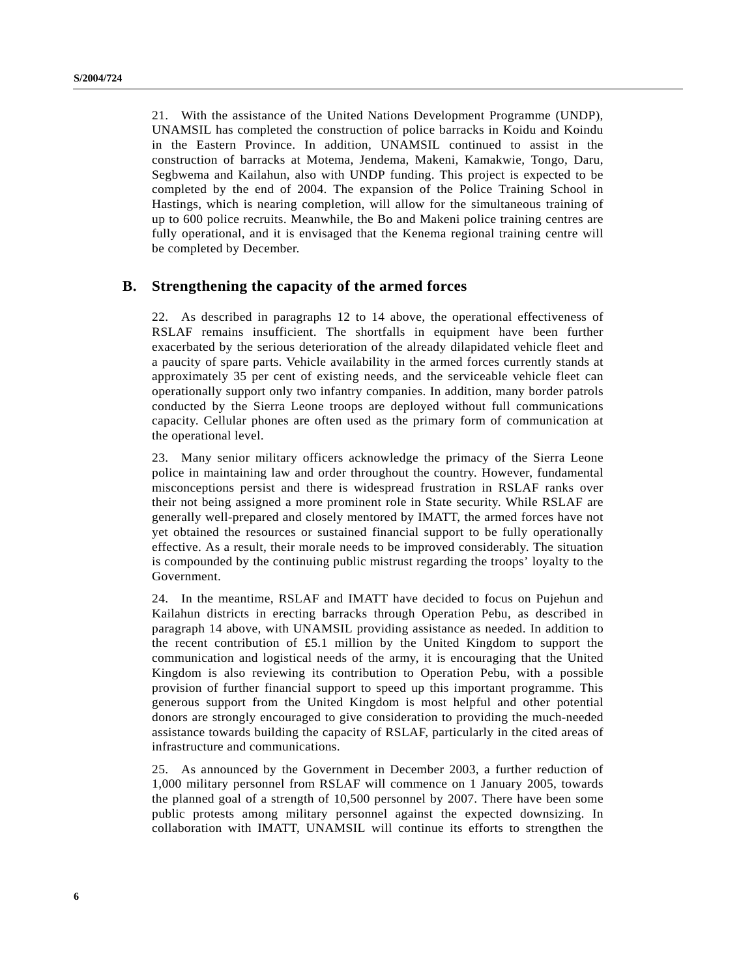21. With the assistance of the United Nations Development Programme (UNDP), UNAMSIL has completed the construction of police barracks in Koidu and Koindu in the Eastern Province. In addition, UNAMSIL continued to assist in the construction of barracks at Motema, Jendema, Makeni, Kamakwie, Tongo, Daru, Segbwema and Kailahun, also with UNDP funding. This project is expected to be completed by the end of 2004. The expansion of the Police Training School in Hastings, which is nearing completion, will allow for the simultaneous training of up to 600 police recruits. Meanwhile, the Bo and Makeni police training centres are fully operational, and it is envisaged that the Kenema regional training centre will be completed by December.

#### **B. Strengthening the capacity of the armed forces**

22. As described in paragraphs 12 to 14 above, the operational effectiveness of RSLAF remains insufficient. The shortfalls in equipment have been further exacerbated by the serious deterioration of the already dilapidated vehicle fleet and a paucity of spare parts. Vehicle availability in the armed forces currently stands at approximately 35 per cent of existing needs, and the serviceable vehicle fleet can operationally support only two infantry companies. In addition, many border patrols conducted by the Sierra Leone troops are deployed without full communications capacity. Cellular phones are often used as the primary form of communication at the operational level.

23. Many senior military officers acknowledge the primacy of the Sierra Leone police in maintaining law and order throughout the country. However, fundamental misconceptions persist and there is widespread frustration in RSLAF ranks over their not being assigned a more prominent role in State security. While RSLAF are generally well-prepared and closely mentored by IMATT, the armed forces have not yet obtained the resources or sustained financial support to be fully operationally effective. As a result, their morale needs to be improved considerably. The situation is compounded by the continuing public mistrust regarding the troops' loyalty to the Government.

24. In the meantime, RSLAF and IMATT have decided to focus on Pujehun and Kailahun districts in erecting barracks through Operation Pebu, as described in paragraph 14 above, with UNAMSIL providing assistance as needed. In addition to the recent contribution of £5.1 million by the United Kingdom to support the communication and logistical needs of the army, it is encouraging that the United Kingdom is also reviewing its contribution to Operation Pebu, with a possible provision of further financial support to speed up this important programme. This generous support from the United Kingdom is most helpful and other potential donors are strongly encouraged to give consideration to providing the much-needed assistance towards building the capacity of RSLAF, particularly in the cited areas of infrastructure and communications.

25. As announced by the Government in December 2003, a further reduction of 1,000 military personnel from RSLAF will commence on 1 January 2005, towards the planned goal of a strength of 10,500 personnel by 2007. There have been some public protests among military personnel against the expected downsizing. In collaboration with IMATT, UNAMSIL will continue its efforts to strengthen the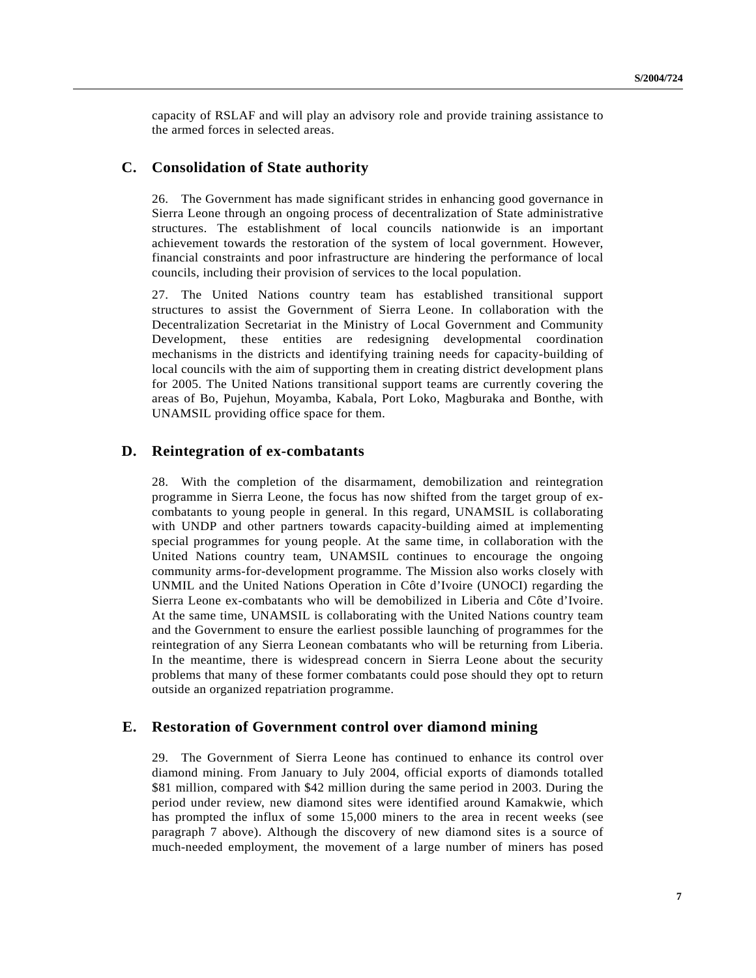capacity of RSLAF and will play an advisory role and provide training assistance to the armed forces in selected areas.

#### **C. Consolidation of State authority**

26. The Government has made significant strides in enhancing good governance in Sierra Leone through an ongoing process of decentralization of State administrative structures. The establishment of local councils nationwide is an important achievement towards the restoration of the system of local government. However, financial constraints and poor infrastructure are hindering the performance of local councils, including their provision of services to the local population.

27. The United Nations country team has established transitional support structures to assist the Government of Sierra Leone. In collaboration with the Decentralization Secretariat in the Ministry of Local Government and Community Development, these entities are redesigning developmental coordination mechanisms in the districts and identifying training needs for capacity-building of local councils with the aim of supporting them in creating district development plans for 2005. The United Nations transitional support teams are currently covering the areas of Bo, Pujehun, Moyamba, Kabala, Port Loko, Magburaka and Bonthe, with UNAMSIL providing office space for them.

#### **D. Reintegration of ex-combatants**

28. With the completion of the disarmament, demobilization and reintegration programme in Sierra Leone, the focus has now shifted from the target group of excombatants to young people in general. In this regard, UNAMSIL is collaborating with UNDP and other partners towards capacity-building aimed at implementing special programmes for young people. At the same time, in collaboration with the United Nations country team, UNAMSIL continues to encourage the ongoing community arms-for-development programme. The Mission also works closely with UNMIL and the United Nations Operation in Côte d'Ivoire (UNOCI) regarding the Sierra Leone ex-combatants who will be demobilized in Liberia and Côte d'Ivoire. At the same time, UNAMSIL is collaborating with the United Nations country team and the Government to ensure the earliest possible launching of programmes for the reintegration of any Sierra Leonean combatants who will be returning from Liberia. In the meantime, there is widespread concern in Sierra Leone about the security problems that many of these former combatants could pose should they opt to return outside an organized repatriation programme.

#### **E. Restoration of Government control over diamond mining**

29. The Government of Sierra Leone has continued to enhance its control over diamond mining. From January to July 2004, official exports of diamonds totalled \$81 million, compared with \$42 million during the same period in 2003. During the period under review, new diamond sites were identified around Kamakwie, which has prompted the influx of some 15,000 miners to the area in recent weeks (see paragraph 7 above). Although the discovery of new diamond sites is a source of much-needed employment, the movement of a large number of miners has posed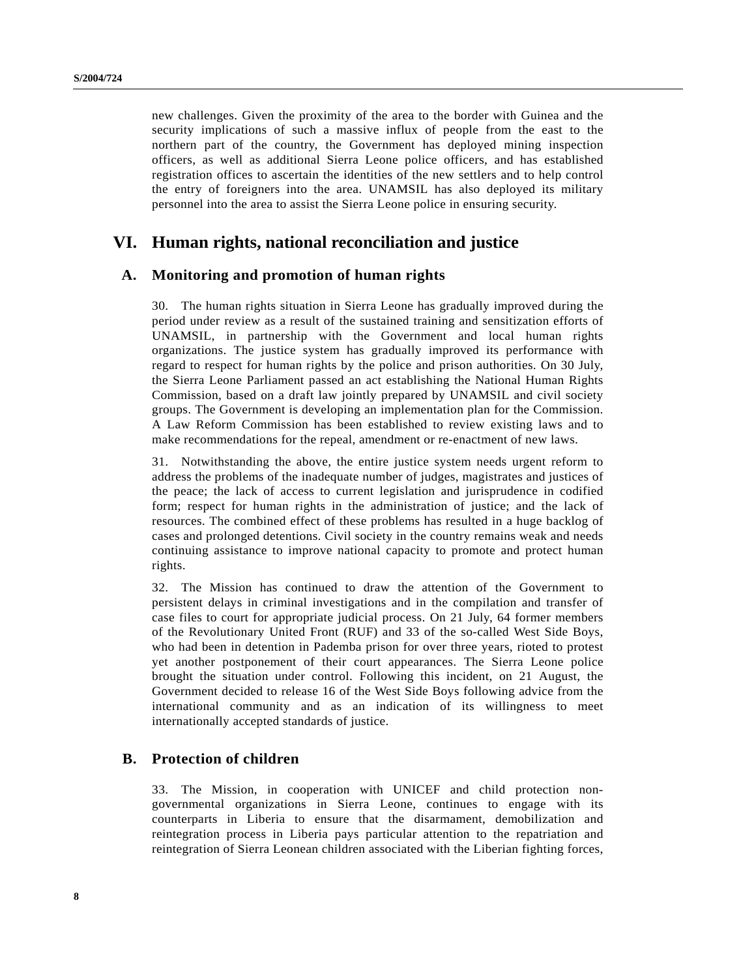new challenges. Given the proximity of the area to the border with Guinea and the security implications of such a massive influx of people from the east to the northern part of the country, the Government has deployed mining inspection officers, as well as additional Sierra Leone police officers, and has established registration offices to ascertain the identities of the new settlers and to help control the entry of foreigners into the area. UNAMSIL has also deployed its military personnel into the area to assist the Sierra Leone police in ensuring security.

### **VI. Human rights, national reconciliation and justice**

#### **A. Monitoring and promotion of human rights**

30. The human rights situation in Sierra Leone has gradually improved during the period under review as a result of the sustained training and sensitization efforts of UNAMSIL, in partnership with the Government and local human rights organizations. The justice system has gradually improved its performance with regard to respect for human rights by the police and prison authorities. On 30 July, the Sierra Leone Parliament passed an act establishing the National Human Rights Commission, based on a draft law jointly prepared by UNAMSIL and civil society groups. The Government is developing an implementation plan for the Commission. A Law Reform Commission has been established to review existing laws and to make recommendations for the repeal, amendment or re-enactment of new laws.

31. Notwithstanding the above, the entire justice system needs urgent reform to address the problems of the inadequate number of judges, magistrates and justices of the peace; the lack of access to current legislation and jurisprudence in codified form; respect for human rights in the administration of justice; and the lack of resources. The combined effect of these problems has resulted in a huge backlog of cases and prolonged detentions. Civil society in the country remains weak and needs continuing assistance to improve national capacity to promote and protect human rights.

32. The Mission has continued to draw the attention of the Government to persistent delays in criminal investigations and in the compilation and transfer of case files to court for appropriate judicial process. On 21 July, 64 former members of the Revolutionary United Front (RUF) and 33 of the so-called West Side Boys, who had been in detention in Pademba prison for over three years, rioted to protest yet another postponement of their court appearances. The Sierra Leone police brought the situation under control. Following this incident, on 21 August, the Government decided to release 16 of the West Side Boys following advice from the international community and as an indication of its willingness to meet internationally accepted standards of justice.

#### **B. Protection of children**

33. The Mission, in cooperation with UNICEF and child protection nongovernmental organizations in Sierra Leone, continues to engage with its counterparts in Liberia to ensure that the disarmament, demobilization and reintegration process in Liberia pays particular attention to the repatriation and reintegration of Sierra Leonean children associated with the Liberian fighting forces,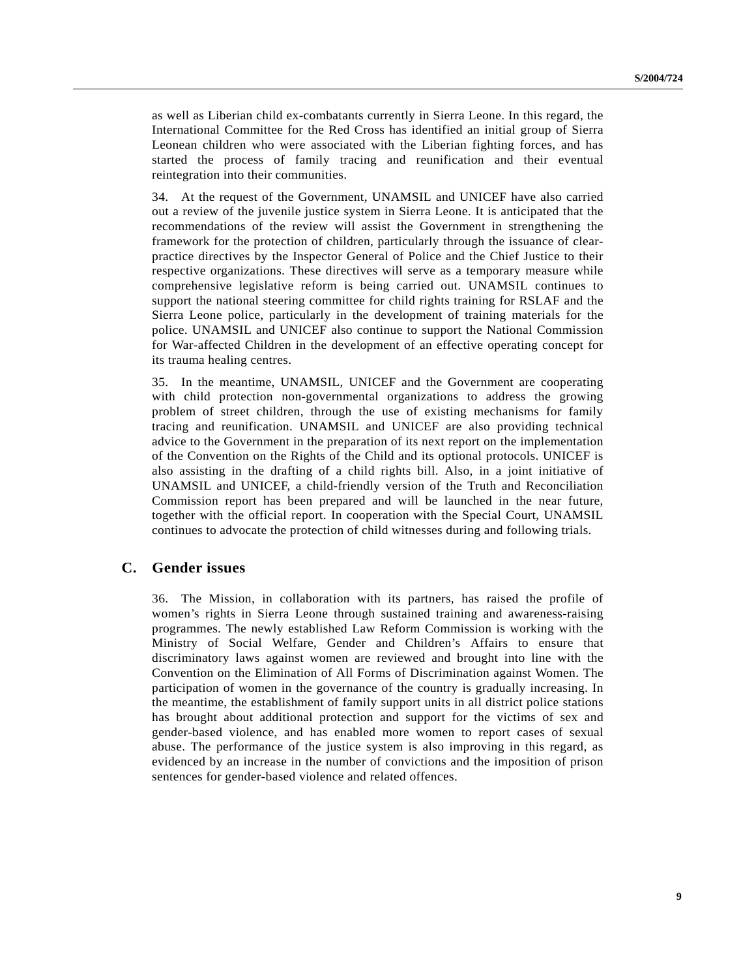as well as Liberian child ex-combatants currently in Sierra Leone. In this regard, the International Committee for the Red Cross has identified an initial group of Sierra Leonean children who were associated with the Liberian fighting forces, and has started the process of family tracing and reunification and their eventual reintegration into their communities.

34. At the request of the Government, UNAMSIL and UNICEF have also carried out a review of the juvenile justice system in Sierra Leone. It is anticipated that the recommendations of the review will assist the Government in strengthening the framework for the protection of children, particularly through the issuance of clearpractice directives by the Inspector General of Police and the Chief Justice to their respective organizations. These directives will serve as a temporary measure while comprehensive legislative reform is being carried out. UNAMSIL continues to support the national steering committee for child rights training for RSLAF and the Sierra Leone police, particularly in the development of training materials for the police. UNAMSIL and UNICEF also continue to support the National Commission for War-affected Children in the development of an effective operating concept for its trauma healing centres.

35. In the meantime, UNAMSIL, UNICEF and the Government are cooperating with child protection non-governmental organizations to address the growing problem of street children, through the use of existing mechanisms for family tracing and reunification. UNAMSIL and UNICEF are also providing technical advice to the Government in the preparation of its next report on the implementation of the Convention on the Rights of the Child and its optional protocols. UNICEF is also assisting in the drafting of a child rights bill. Also, in a joint initiative of UNAMSIL and UNICEF, a child-friendly version of the Truth and Reconciliation Commission report has been prepared and will be launched in the near future, together with the official report. In cooperation with the Special Court, UNAMSIL continues to advocate the protection of child witnesses during and following trials.

#### **C. Gender issues**

36. The Mission, in collaboration with its partners, has raised the profile of women's rights in Sierra Leone through sustained training and awareness-raising programmes. The newly established Law Reform Commission is working with the Ministry of Social Welfare, Gender and Children's Affairs to ensure that discriminatory laws against women are reviewed and brought into line with the Convention on the Elimination of All Forms of Discrimination against Women. The participation of women in the governance of the country is gradually increasing. In the meantime, the establishment of family support units in all district police stations has brought about additional protection and support for the victims of sex and gender-based violence, and has enabled more women to report cases of sexual abuse. The performance of the justice system is also improving in this regard, as evidenced by an increase in the number of convictions and the imposition of prison sentences for gender-based violence and related offences.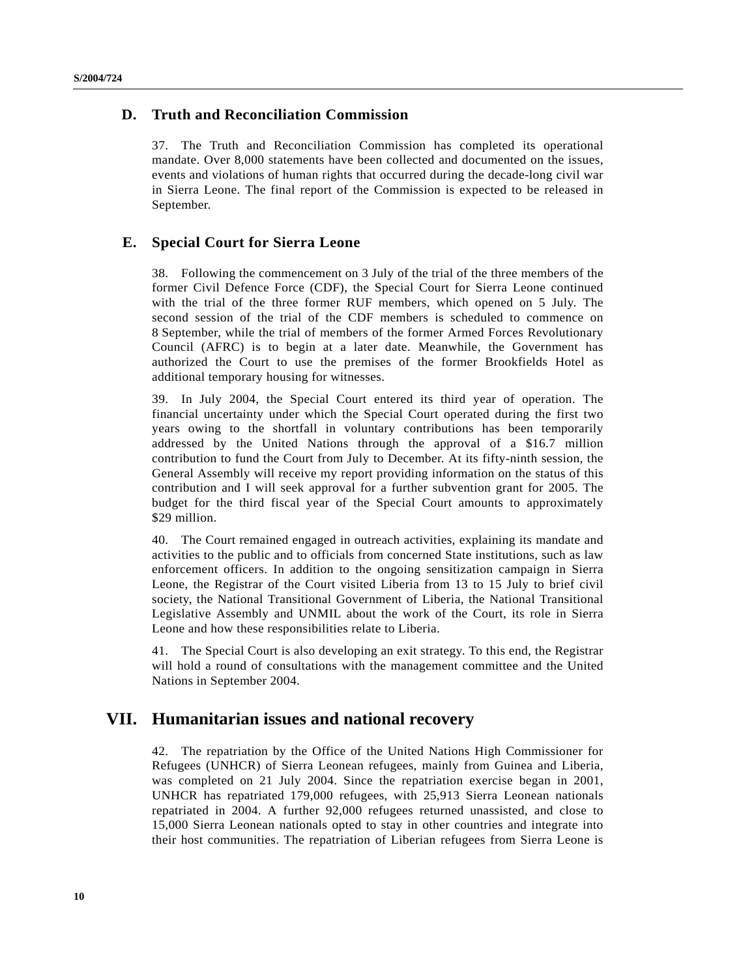#### **D. Truth and Reconciliation Commission**

37. The Truth and Reconciliation Commission has completed its operational mandate. Over 8,000 statements have been collected and documented on the issues, events and violations of human rights that occurred during the decade-long civil war in Sierra Leone. The final report of the Commission is expected to be released in September.

#### **E. Special Court for Sierra Leone**

38. Following the commencement on 3 July of the trial of the three members of the former Civil Defence Force (CDF), the Special Court for Sierra Leone continued with the trial of the three former RUF members, which opened on 5 July. The second session of the trial of the CDF members is scheduled to commence on 8 September, while the trial of members of the former Armed Forces Revolutionary Council (AFRC) is to begin at a later date. Meanwhile, the Government has authorized the Court to use the premises of the former Brookfields Hotel as additional temporary housing for witnesses.

39. In July 2004, the Special Court entered its third year of operation. The financial uncertainty under which the Special Court operated during the first two years owing to the shortfall in voluntary contributions has been temporarily addressed by the United Nations through the approval of a \$16.7 million contribution to fund the Court from July to December. At its fifty-ninth session, the General Assembly will receive my report providing information on the status of this contribution and I will seek approval for a further subvention grant for 2005. The budget for the third fiscal year of the Special Court amounts to approximately \$29 million.

40. The Court remained engaged in outreach activities, explaining its mandate and activities to the public and to officials from concerned State institutions, such as law enforcement officers. In addition to the ongoing sensitization campaign in Sierra Leone, the Registrar of the Court visited Liberia from 13 to 15 July to brief civil society, the National Transitional Government of Liberia, the National Transitional Legislative Assembly and UNMIL about the work of the Court, its role in Sierra Leone and how these responsibilities relate to Liberia.

41. The Special Court is also developing an exit strategy. To this end, the Registrar will hold a round of consultations with the management committee and the United Nations in September 2004.

### **VII. Humanitarian issues and national recovery**

42. The repatriation by the Office of the United Nations High Commissioner for Refugees (UNHCR) of Sierra Leonean refugees, mainly from Guinea and Liberia, was completed on 21 July 2004. Since the repatriation exercise began in 2001, UNHCR has repatriated 179,000 refugees, with 25,913 Sierra Leonean nationals repatriated in 2004. A further 92,000 refugees returned unassisted, and close to 15,000 Sierra Leonean nationals opted to stay in other countries and integrate into their host communities. The repatriation of Liberian refugees from Sierra Leone is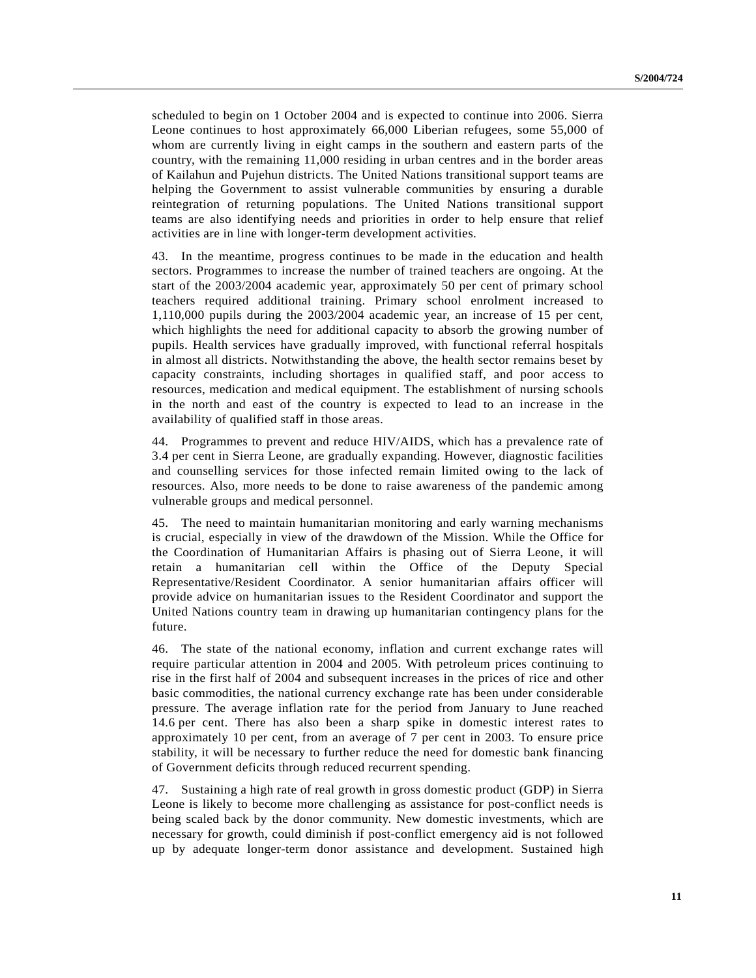scheduled to begin on 1 October 2004 and is expected to continue into 2006. Sierra Leone continues to host approximately 66,000 Liberian refugees, some 55,000 of whom are currently living in eight camps in the southern and eastern parts of the country, with the remaining 11,000 residing in urban centres and in the border areas of Kailahun and Pujehun districts. The United Nations transitional support teams are helping the Government to assist vulnerable communities by ensuring a durable reintegration of returning populations. The United Nations transitional support teams are also identifying needs and priorities in order to help ensure that relief activities are in line with longer-term development activities.

43. In the meantime, progress continues to be made in the education and health sectors. Programmes to increase the number of trained teachers are ongoing. At the start of the 2003/2004 academic year, approximately 50 per cent of primary school teachers required additional training. Primary school enrolment increased to 1,110,000 pupils during the 2003/2004 academic year, an increase of 15 per cent, which highlights the need for additional capacity to absorb the growing number of pupils. Health services have gradually improved, with functional referral hospitals in almost all districts. Notwithstanding the above, the health sector remains beset by capacity constraints, including shortages in qualified staff, and poor access to resources, medication and medical equipment. The establishment of nursing schools in the north and east of the country is expected to lead to an increase in the availability of qualified staff in those areas.

44. Programmes to prevent and reduce HIV/AIDS, which has a prevalence rate of 3.4 per cent in Sierra Leone, are gradually expanding. However, diagnostic facilities and counselling services for those infected remain limited owing to the lack of resources. Also, more needs to be done to raise awareness of the pandemic among vulnerable groups and medical personnel.

45. The need to maintain humanitarian monitoring and early warning mechanisms is crucial, especially in view of the drawdown of the Mission. While the Office for the Coordination of Humanitarian Affairs is phasing out of Sierra Leone, it will retain a humanitarian cell within the Office of the Deputy Special Representative/Resident Coordinator. A senior humanitarian affairs officer will provide advice on humanitarian issues to the Resident Coordinator and support the United Nations country team in drawing up humanitarian contingency plans for the future.

46. The state of the national economy, inflation and current exchange rates will require particular attention in 2004 and 2005. With petroleum prices continuing to rise in the first half of 2004 and subsequent increases in the prices of rice and other basic commodities, the national currency exchange rate has been under considerable pressure. The average inflation rate for the period from January to June reached 14.6 per cent. There has also been a sharp spike in domestic interest rates to approximately 10 per cent, from an average of 7 per cent in 2003. To ensure price stability, it will be necessary to further reduce the need for domestic bank financing of Government deficits through reduced recurrent spending.

47. Sustaining a high rate of real growth in gross domestic product (GDP) in Sierra Leone is likely to become more challenging as assistance for post-conflict needs is being scaled back by the donor community. New domestic investments, which are necessary for growth, could diminish if post-conflict emergency aid is not followed up by adequate longer-term donor assistance and development. Sustained high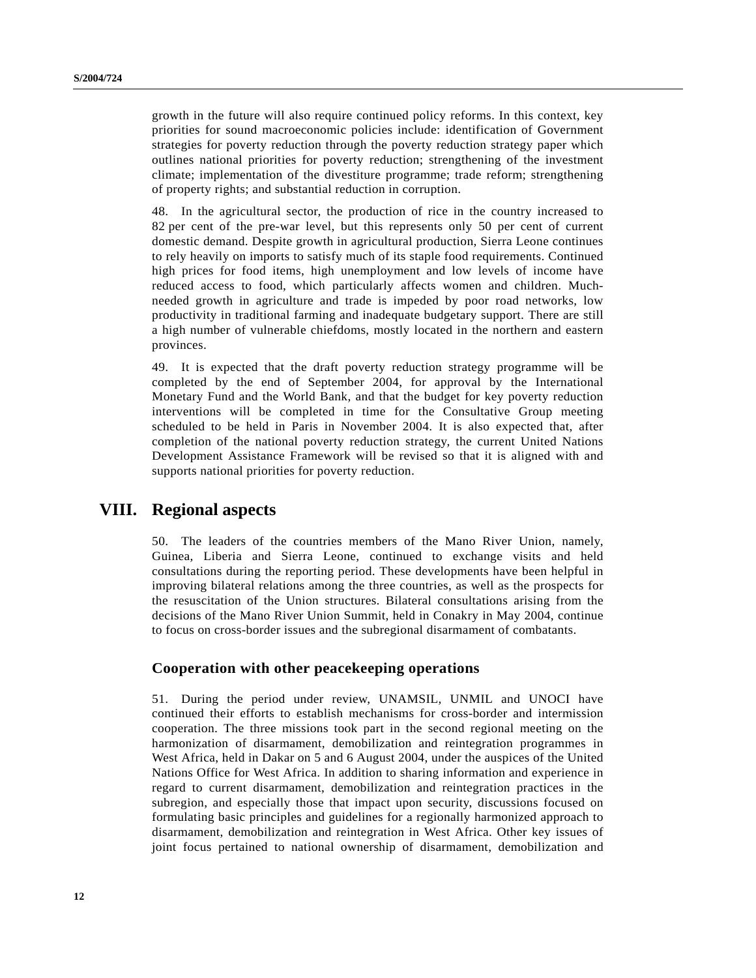growth in the future will also require continued policy reforms. In this context, key priorities for sound macroeconomic policies include: identification of Government strategies for poverty reduction through the poverty reduction strategy paper which outlines national priorities for poverty reduction; strengthening of the investment climate; implementation of the divestiture programme; trade reform; strengthening of property rights; and substantial reduction in corruption.

48. In the agricultural sector, the production of rice in the country increased to 82 per cent of the pre-war level, but this represents only 50 per cent of current domestic demand. Despite growth in agricultural production, Sierra Leone continues to rely heavily on imports to satisfy much of its staple food requirements. Continued high prices for food items, high unemployment and low levels of income have reduced access to food, which particularly affects women and children. Muchneeded growth in agriculture and trade is impeded by poor road networks, low productivity in traditional farming and inadequate budgetary support. There are still a high number of vulnerable chiefdoms, mostly located in the northern and eastern provinces.

49. It is expected that the draft poverty reduction strategy programme will be completed by the end of September 2004, for approval by the International Monetary Fund and the World Bank, and that the budget for key poverty reduction interventions will be completed in time for the Consultative Group meeting scheduled to be held in Paris in November 2004. It is also expected that, after completion of the national poverty reduction strategy, the current United Nations Development Assistance Framework will be revised so that it is aligned with and supports national priorities for poverty reduction.

### **VIII. Regional aspects**

50. The leaders of the countries members of the Mano River Union, namely, Guinea, Liberia and Sierra Leone, continued to exchange visits and held consultations during the reporting period. These developments have been helpful in improving bilateral relations among the three countries, as well as the prospects for the resuscitation of the Union structures. Bilateral consultations arising from the decisions of the Mano River Union Summit, held in Conakry in May 2004, continue to focus on cross-border issues and the subregional disarmament of combatants.

#### **Cooperation with other peacekeeping operations**

51. During the period under review, UNAMSIL, UNMIL and UNOCI have continued their efforts to establish mechanisms for cross-border and intermission cooperation. The three missions took part in the second regional meeting on the harmonization of disarmament, demobilization and reintegration programmes in West Africa, held in Dakar on 5 and 6 August 2004, under the auspices of the United Nations Office for West Africa. In addition to sharing information and experience in regard to current disarmament, demobilization and reintegration practices in the subregion, and especially those that impact upon security, discussions focused on formulating basic principles and guidelines for a regionally harmonized approach to disarmament, demobilization and reintegration in West Africa. Other key issues of joint focus pertained to national ownership of disarmament, demobilization and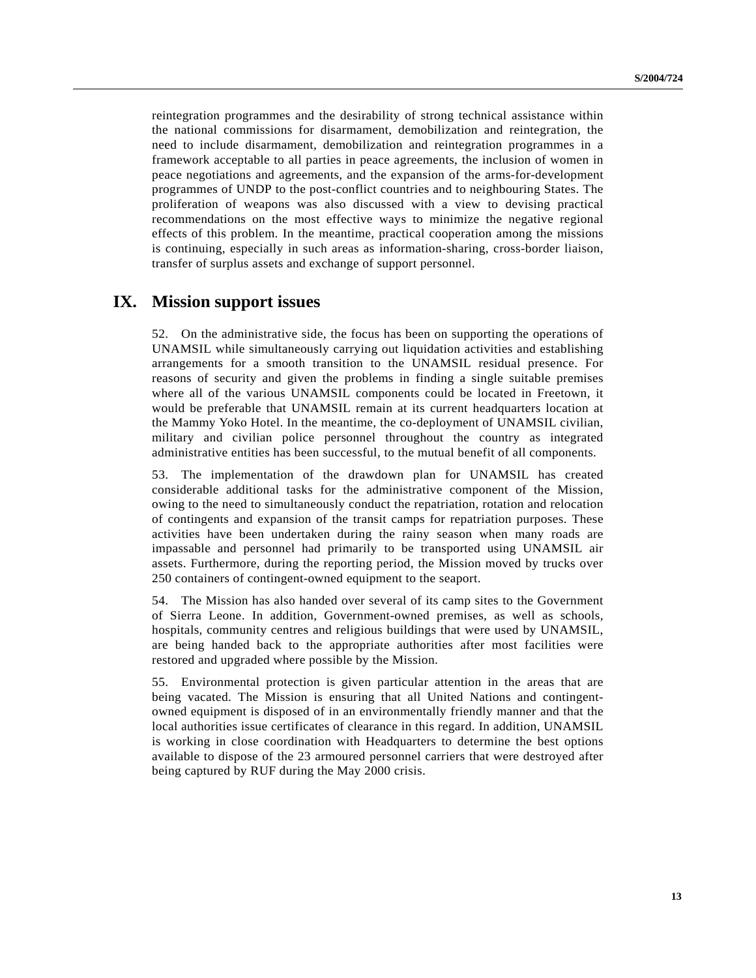reintegration programmes and the desirability of strong technical assistance within the national commissions for disarmament, demobilization and reintegration, the need to include disarmament, demobilization and reintegration programmes in a framework acceptable to all parties in peace agreements, the inclusion of women in peace negotiations and agreements, and the expansion of the arms-for-development programmes of UNDP to the post-conflict countries and to neighbouring States. The proliferation of weapons was also discussed with a view to devising practical recommendations on the most effective ways to minimize the negative regional effects of this problem. In the meantime, practical cooperation among the missions is continuing, especially in such areas as information-sharing, cross-border liaison, transfer of surplus assets and exchange of support personnel.

### **IX. Mission support issues**

52. On the administrative side, the focus has been on supporting the operations of UNAMSIL while simultaneously carrying out liquidation activities and establishing arrangements for a smooth transition to the UNAMSIL residual presence. For reasons of security and given the problems in finding a single suitable premises where all of the various UNAMSIL components could be located in Freetown, it would be preferable that UNAMSIL remain at its current headquarters location at the Mammy Yoko Hotel. In the meantime, the co-deployment of UNAMSIL civilian, military and civilian police personnel throughout the country as integrated administrative entities has been successful, to the mutual benefit of all components.

53. The implementation of the drawdown plan for UNAMSIL has created considerable additional tasks for the administrative component of the Mission, owing to the need to simultaneously conduct the repatriation, rotation and relocation of contingents and expansion of the transit camps for repatriation purposes. These activities have been undertaken during the rainy season when many roads are impassable and personnel had primarily to be transported using UNAMSIL air assets. Furthermore, during the reporting period, the Mission moved by trucks over 250 containers of contingent-owned equipment to the seaport.

54. The Mission has also handed over several of its camp sites to the Government of Sierra Leone. In addition, Government-owned premises, as well as schools, hospitals, community centres and religious buildings that were used by UNAMSIL, are being handed back to the appropriate authorities after most facilities were restored and upgraded where possible by the Mission.

55. Environmental protection is given particular attention in the areas that are being vacated. The Mission is ensuring that all United Nations and contingentowned equipment is disposed of in an environmentally friendly manner and that the local authorities issue certificates of clearance in this regard. In addition, UNAMSIL is working in close coordination with Headquarters to determine the best options available to dispose of the 23 armoured personnel carriers that were destroyed after being captured by RUF during the May 2000 crisis.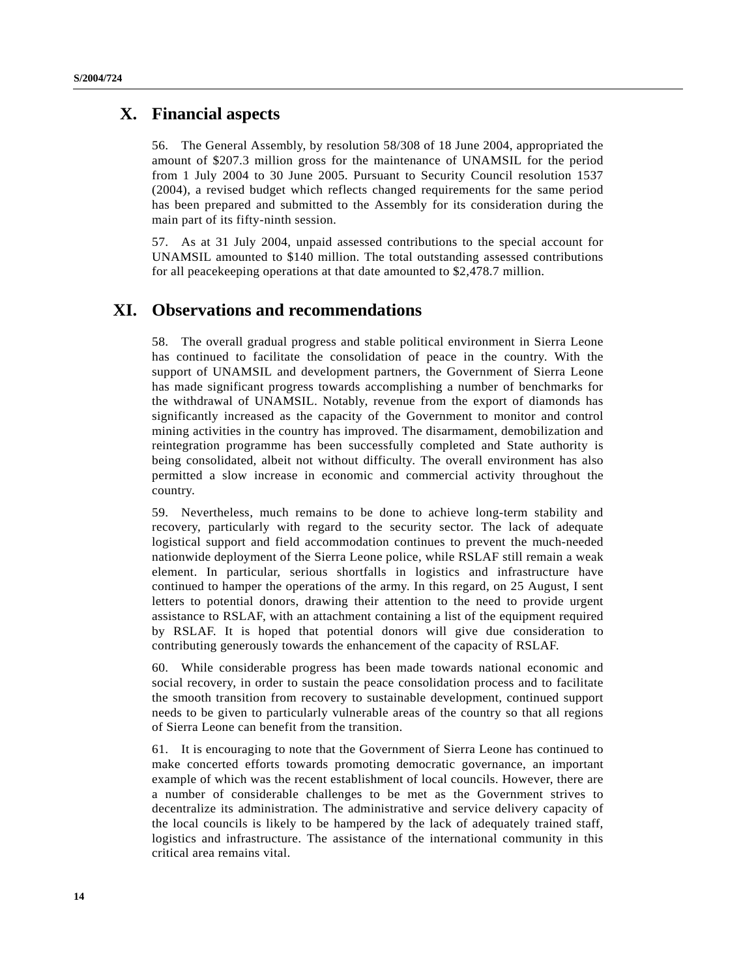### **X. Financial aspects**

56. The General Assembly, by resolution 58/308 of 18 June 2004, appropriated the amount of \$207.3 million gross for the maintenance of UNAMSIL for the period from 1 July 2004 to 30 June 2005. Pursuant to Security Council resolution 1537 (2004), a revised budget which reflects changed requirements for the same period has been prepared and submitted to the Assembly for its consideration during the main part of its fifty-ninth session.

57. As at 31 July 2004, unpaid assessed contributions to the special account for UNAMSIL amounted to \$140 million. The total outstanding assessed contributions for all peacekeeping operations at that date amounted to \$2,478.7 million.

### **XI. Observations and recommendations**

58. The overall gradual progress and stable political environment in Sierra Leone has continued to facilitate the consolidation of peace in the country. With the support of UNAMSIL and development partners, the Government of Sierra Leone has made significant progress towards accomplishing a number of benchmarks for the withdrawal of UNAMSIL. Notably, revenue from the export of diamonds has significantly increased as the capacity of the Government to monitor and control mining activities in the country has improved. The disarmament, demobilization and reintegration programme has been successfully completed and State authority is being consolidated, albeit not without difficulty. The overall environment has also permitted a slow increase in economic and commercial activity throughout the country.

59. Nevertheless, much remains to be done to achieve long-term stability and recovery, particularly with regard to the security sector. The lack of adequate logistical support and field accommodation continues to prevent the much-needed nationwide deployment of the Sierra Leone police, while RSLAF still remain a weak element. In particular, serious shortfalls in logistics and infrastructure have continued to hamper the operations of the army. In this regard, on 25 August, I sent letters to potential donors, drawing their attention to the need to provide urgent assistance to RSLAF, with an attachment containing a list of the equipment required by RSLAF. It is hoped that potential donors will give due consideration to contributing generously towards the enhancement of the capacity of RSLAF.

60. While considerable progress has been made towards national economic and social recovery, in order to sustain the peace consolidation process and to facilitate the smooth transition from recovery to sustainable development, continued support needs to be given to particularly vulnerable areas of the country so that all regions of Sierra Leone can benefit from the transition.

61. It is encouraging to note that the Government of Sierra Leone has continued to make concerted efforts towards promoting democratic governance, an important example of which was the recent establishment of local councils. However, there are a number of considerable challenges to be met as the Government strives to decentralize its administration. The administrative and service delivery capacity of the local councils is likely to be hampered by the lack of adequately trained staff, logistics and infrastructure. The assistance of the international community in this critical area remains vital.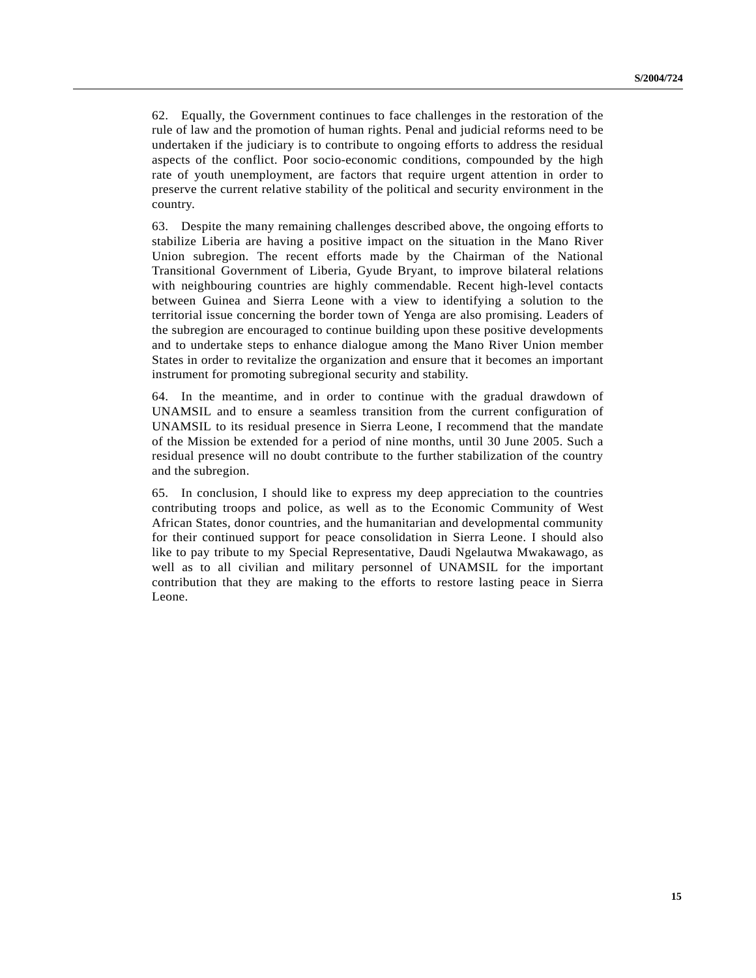62. Equally, the Government continues to face challenges in the restoration of the rule of law and the promotion of human rights. Penal and judicial reforms need to be undertaken if the judiciary is to contribute to ongoing efforts to address the residual aspects of the conflict. Poor socio-economic conditions, compounded by the high rate of youth unemployment, are factors that require urgent attention in order to preserve the current relative stability of the political and security environment in the country.

63. Despite the many remaining challenges described above, the ongoing efforts to stabilize Liberia are having a positive impact on the situation in the Mano River Union subregion. The recent efforts made by the Chairman of the National Transitional Government of Liberia, Gyude Bryant, to improve bilateral relations with neighbouring countries are highly commendable. Recent high-level contacts between Guinea and Sierra Leone with a view to identifying a solution to the territorial issue concerning the border town of Yenga are also promising. Leaders of the subregion are encouraged to continue building upon these positive developments and to undertake steps to enhance dialogue among the Mano River Union member States in order to revitalize the organization and ensure that it becomes an important instrument for promoting subregional security and stability.

64. In the meantime, and in order to continue with the gradual drawdown of UNAMSIL and to ensure a seamless transition from the current configuration of UNAMSIL to its residual presence in Sierra Leone, I recommend that the mandate of the Mission be extended for a period of nine months, until 30 June 2005. Such a residual presence will no doubt contribute to the further stabilization of the country and the subregion.

65. In conclusion, I should like to express my deep appreciation to the countries contributing troops and police, as well as to the Economic Community of West African States, donor countries, and the humanitarian and developmental community for their continued support for peace consolidation in Sierra Leone. I should also like to pay tribute to my Special Representative, Daudi Ngelautwa Mwakawago, as well as to all civilian and military personnel of UNAMSIL for the important contribution that they are making to the efforts to restore lasting peace in Sierra Leone.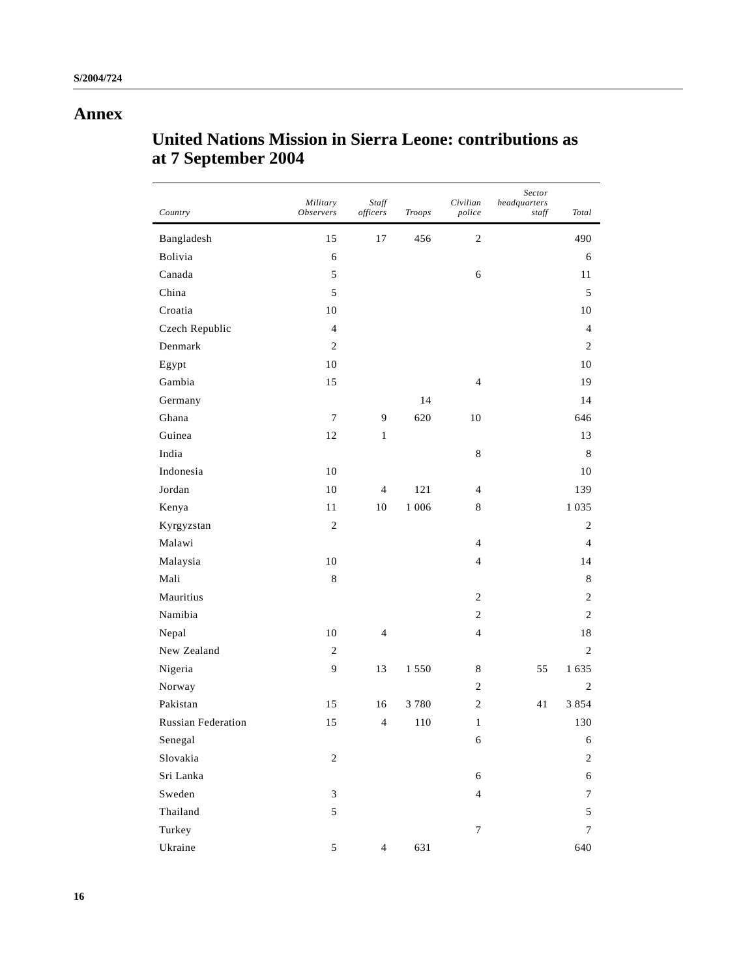## **Annex**

# **United Nations Mission in Sierra Leone: contributions as at 7 September 2004**

| Country                   | Military<br><i><b>Observers</b></i> | Staff<br>officers | Troops  | Civilian<br>police | Sector<br>headquarters<br>staff | Total          |
|---------------------------|-------------------------------------|-------------------|---------|--------------------|---------------------------------|----------------|
| Bangladesh                | 15                                  | 17                | 456     | $\sqrt{2}$         |                                 | 490            |
| Bolivia                   | 6                                   |                   |         |                    |                                 | 6              |
| Canada                    | 5                                   |                   |         | 6                  |                                 | 11             |
| China                     | 5                                   |                   |         |                    |                                 | 5              |
| Croatia                   | 10                                  |                   |         |                    |                                 | 10             |
| Czech Republic            | $\overline{4}$                      |                   |         |                    |                                 | $\overline{4}$ |
| Denmark                   | $\overline{2}$                      |                   |         |                    |                                 | $\overline{c}$ |
| Egypt                     | 10                                  |                   |         |                    |                                 | 10             |
| Gambia                    | 15                                  |                   |         | $\overline{4}$     |                                 | 19             |
| Germany                   |                                     |                   | 14      |                    |                                 | 14             |
| Ghana                     | $\boldsymbol{7}$                    | 9                 | 620     | 10                 |                                 | 646            |
| Guinea                    | 12                                  | $\mathbf{1}$      |         |                    |                                 | 13             |
| India                     |                                     |                   |         | $\,8\,$            |                                 | 8              |
| Indonesia                 | 10                                  |                   |         |                    |                                 | 10             |
| Jordan                    | 10                                  | $\overline{4}$    | 121     | $\overline{4}$     |                                 | 139            |
| Kenya                     | 11                                  | 10                | 1 0 0 6 | $\,8\,$            |                                 | 1 0 3 5        |
| Kyrgyzstan                | $\sqrt{2}$                          |                   |         |                    |                                 | $\overline{c}$ |
| Malawi                    |                                     |                   |         | $\overline{4}$     |                                 | 4              |
| Malaysia                  | 10                                  |                   |         | $\overline{4}$     |                                 | 14             |
| Mali                      | $\,$ 8 $\,$                         |                   |         |                    |                                 | 8              |
| Mauritius                 |                                     |                   |         | $\overline{c}$     |                                 | $\overline{c}$ |
| Namibia                   |                                     |                   |         | $\sqrt{2}$         |                                 | $\overline{c}$ |
| Nepal                     | 10                                  | $\overline{4}$    |         | $\overline{4}$     |                                 | 18             |
| New Zealand               | $\mathfrak{2}$                      |                   |         |                    |                                 | 2              |
| Nigeria                   | 9                                   | 13                | 1550    | 8                  | 55                              | 1 635          |
| Norway                    |                                     |                   |         | $\sqrt{2}$         |                                 | $\overline{c}$ |
| Pakistan                  | 15                                  | 16                | 3780    | $\sqrt{2}$         | 41                              | 3 8 5 4        |
| <b>Russian Federation</b> | 15                                  | $\overline{4}$    | 110     | $\mathbf{1}$       |                                 | 130            |
| Senegal                   |                                     |                   |         | $\epsilon$         |                                 | 6              |
| Slovakia                  | $\sqrt{2}$                          |                   |         |                    |                                 | $\sqrt{2}$     |
| Sri Lanka                 |                                     |                   |         | $\epsilon$         |                                 | $\epsilon$     |
| Sweden                    | 3                                   |                   |         | $\overline{4}$     |                                 | 7              |
| Thailand                  | 5                                   |                   |         |                    |                                 | $\sqrt{5}$     |
| Turkey                    |                                     |                   |         | $\tau$             |                                 | 7              |
| Ukraine                   | $\mathfrak s$                       | $\overline{4}$    | 631     |                    |                                 | 640            |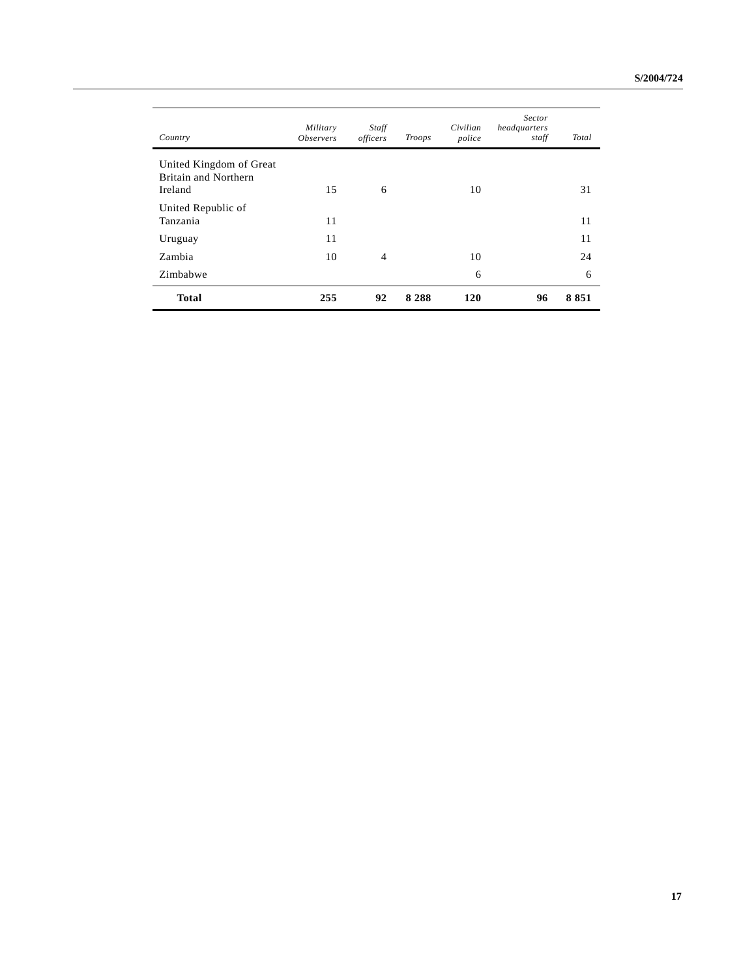| Country                                                    | Military<br><i><b>Observers</b></i> | Staff<br>officers | Troops  | Civilian<br>police | Sector<br>headquarters<br>staff | Total |
|------------------------------------------------------------|-------------------------------------|-------------------|---------|--------------------|---------------------------------|-------|
| United Kingdom of Great<br>Britain and Northern<br>Ireland | 15                                  | 6                 |         | 10                 |                                 | 31    |
| United Republic of<br>Tanzania                             | 11                                  |                   |         |                    |                                 | 11    |
| Uruguay                                                    | 11                                  |                   |         |                    |                                 | 11    |
| Zambia                                                     | 10                                  | $\overline{4}$    |         | 10                 |                                 | 24    |
| Zimbabwe                                                   |                                     |                   |         | 6                  |                                 | 6     |
| <b>Total</b>                                               | 255                                 | 92                | 8 2 8 8 | <b>120</b>         | 96                              | 8851  |